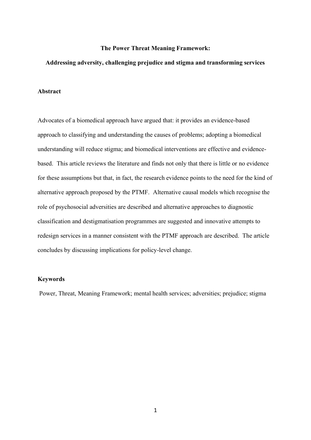## **The Power Threat Meaning Framework:**

# **Addressing adversity, challenging prejudice and stigma and transforming services**

# **Abstract**

Advocates of a biomedical approach have argued that: it provides an evidence-based approach to classifying and understanding the causes of problems; adopting a biomedical understanding will reduce stigma; and biomedical interventions are effective and evidencebased. This article reviews the literature and finds not only that there is little or no evidence for these assumptions but that, in fact, the research evidence points to the need for the kind of alternative approach proposed by the PTMF. Alternative causal models which recognise the role of psychosocial adversities are described and alternative approaches to diagnostic classification and destigmatisation programmes are suggested and innovative attempts to redesign services in a manner consistent with the PTMF approach are described. The article concludes by discussing implications for policy-level change.

#### **Keywords**

Power, Threat, Meaning Framework; mental health services; adversities; prejudice; stigma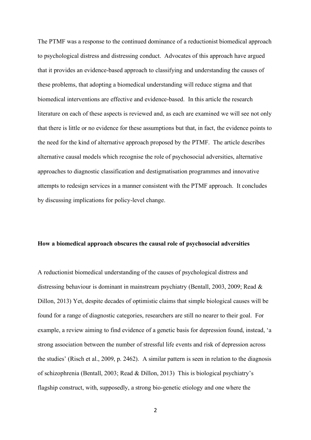The PTMF was a response to the continued dominance of a reductionist biomedical approach to psychological distress and distressing conduct. Advocates of this approach have argued that it provides an evidence-based approach to classifying and understanding the causes of these problems, that adopting a biomedical understanding will reduce stigma and that biomedical interventions are effective and evidence-based. In this article the research literature on each of these aspects is reviewed and, as each are examined we will see not only that there is little or no evidence for these assumptions but that, in fact, the evidence points to the need for the kind of alternative approach proposed by the PTMF. The article describes alternative causal models which recognise the role of psychosocial adversities, alternative approaches to diagnostic classification and destigmatisation programmes and innovative attempts to redesign services in a manner consistent with the PTMF approach. It concludes by discussing implications for policy-level change.

#### **How a biomedical approach obscures the causal role of psychosocial adversities**

A reductionist biomedical understanding of the causes of psychological distress and distressing behaviour is dominant in mainstream psychiatry (Bentall, 2003, 2009; Read & Dillon, 2013) Yet, despite decades of optimistic claims that simple biological causes will be found for a range of diagnostic categories, researchers are still no nearer to their goal. For example, a review aiming to find evidence of a genetic basis for depression found, instead, 'a strong association between the number of stressful life events and risk of depression across the studies' (Risch et al., 2009, p. 2462). A similar pattern is seen in relation to the diagnosis of schizophrenia (Bentall, 2003; Read & Dillon, 2013) This is biological psychiatry's flagship construct, with, supposedly, a strong bio-genetic etiology and one where the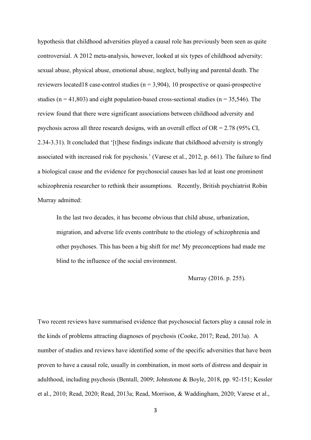hypothesis that childhood adversities played a causal role has previously been seen as quite controversial. A 2012 meta-analysis, however, looked at six types of childhood adversity: sexual abuse, physical abuse, emotional abuse, neglect, bullying and parental death. The reviewers located18 case-control studies ( $n = 3,904$ ), 10 prospective or quasi-prospective studies ( $n = 41,803$ ) and eight population-based cross-sectional studies ( $n = 35,546$ ). The review found that there were significant associations between childhood adversity and psychosis across all three research designs, with an overall effect of  $OR = 2.78$  (95% CI, 2.34-3.31). It concluded that '[t]hese findings indicate that childhood adversity is strongly associated with increased risk for psychosis.' (Varese et al., 2012, p. 661). The failure to find a biological cause and the evidence for psychosocial causes has led at least one prominent schizophrenia researcher to rethink their assumptions. Recently, British psychiatrist Robin Murray admitted:

In the last two decades, it has become obvious that child abuse, urbanization, migration, and adverse life events contribute to the etiology of schizophrenia and other psychoses. This has been a big shift for me! My preconceptions had made me blind to the influence of the social environment.

Murray (2016. p. 255).

Two recent reviews have summarised evidence that psychosocial factors play a causal role in the kinds of problems attracting diagnoses of psychosis (Cooke, 2017; Read, 2013a). A number of studies and reviews have identified some of the specific adversities that have been proven to have a causal role, usually in combination, in most sorts of distress and despair in adulthood, including psychosis (Bentall, 2009; Johnstone & Boyle, 2018, pp. 92-151; Kessler et al., 2010; Read, 2020; Read, 2013a; Read, Morrison, & Waddingham, 2020; Varese et al.,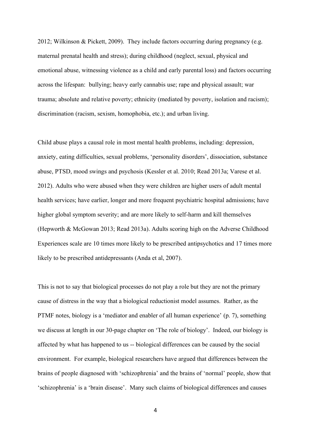2012; Wilkinson & Pickett, 2009). They include factors occurring during pregnancy (e.g. maternal prenatal health and stress); during childhood (neglect, sexual, physical and emotional abuse, witnessing violence as a child and early parental loss) and factors occurring across the lifespan: bullying; heavy early cannabis use; rape and physical assault; war trauma; absolute and relative poverty; ethnicity (mediated by poverty, isolation and racism); discrimination (racism, sexism, homophobia, etc.); and urban living.

Child abuse plays a causal role in most mental health problems, including: depression, anxiety, eating difficulties, sexual problems, 'personality disorders', dissociation, substance abuse, PTSD, mood swings and psychosis (Kessler et al. 2010; Read 2013a; Varese et al. 2012). Adults who were abused when they were children are higher users of adult mental health services; have earlier, longer and more frequent psychiatric hospital admissions; have higher global symptom severity; and are more likely to self-harm and kill themselves (Hepworth & McGowan 2013; Read 2013a). Adults scoring high on the Adverse Childhood Experiences scale are 10 times more likely to be prescribed antipsychotics and 17 times more likely to be prescribed antidepressants (Anda et al, 2007).

This is not to say that biological processes do not play a role but they are not the primary cause of distress in the way that a biological reductionist model assumes. Rather, as the PTMF notes, biology is a 'mediator and enabler of all human experience' (p. 7), something we discuss at length in our 30-page chapter on 'The role of biology'. Indeed, our biology is affected by what has happened to us -- biological differences can be caused by the social environment. For example, biological researchers have argued that differences between the brains of people diagnosed with 'schizophrenia' and the brains of 'normal' people, show that 'schizophrenia' is a 'brain disease'. Many such claims of biological differences and causes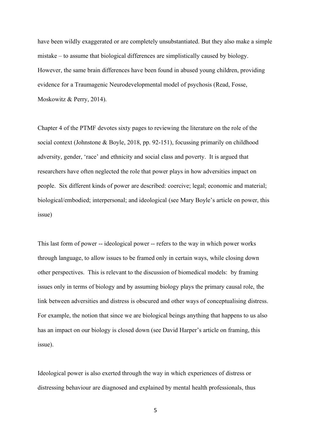have been wildly exaggerated or are completely unsubstantiated. But they also make a simple mistake – to assume that biological differences are simplistically caused by biology. However, the same brain differences have been found in abused young children, providing evidence for a Traumagenic Neurodevelopmental model of psychosis (Read, Fosse, Moskowitz & Perry, 2014).

Chapter 4 of the PTMF devotes sixty pages to reviewing the literature on the role of the social context (Johnstone & Boyle, 2018, pp. 92-151), focussing primarily on childhood adversity, gender, 'race' and ethnicity and social class and poverty. It is argued that researchers have often neglected the role that power plays in how adversities impact on people. Six different kinds of power are described: coercive; legal; economic and material; biological/embodied; interpersonal; and ideological (see Mary Boyle's article on power, this issue)

This last form of power -- ideological power -- refers to the way in which power works through language, to allow issues to be framed only in certain ways, while closing down other perspectives. This is relevant to the discussion of biomedical models: by framing issues only in terms of biology and by assuming biology plays the primary causal role, the link between adversities and distress is obscured and other ways of conceptualising distress. For example, the notion that since we are biological beings anything that happens to us also has an impact on our biology is closed down (see David Harper's article on framing, this issue).

Ideological power is also exerted through the way in which experiences of distress or distressing behaviour are diagnosed and explained by mental health professionals, thus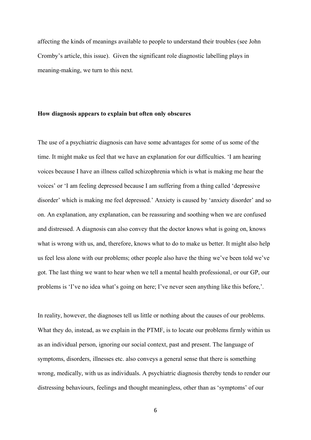affecting the kinds of meanings available to people to understand their troubles (see John Cromby's article, this issue). Given the significant role diagnostic labelling plays in meaning-making, we turn to this next.

## **How diagnosis appears to explain but often only obscures**

The use of a psychiatric diagnosis can have some advantages for some of us some of the time. It might make us feel that we have an explanation for our difficulties. 'I am hearing voices because I have an illness called schizophrenia which is what is making me hear the voices' or 'I am feeling depressed because I am suffering from a thing called 'depressive disorder' which is making me feel depressed.' Anxiety is caused by 'anxiety disorder' and so on. An explanation, any explanation, can be reassuring and soothing when we are confused and distressed. A diagnosis can also convey that the doctor knows what is going on, knows what is wrong with us, and, therefore, knows what to do to make us better. It might also help us feel less alone with our problems; other people also have the thing we've been told we've got. The last thing we want to hear when we tell a mental health professional, or our GP, our problems is 'I've no idea what's going on here; I've never seen anything like this before,'.

In reality, however, the diagnoses tell us little or nothing about the causes of our problems. What they do, instead, as we explain in the PTMF, is to locate our problems firmly within us as an individual person, ignoring our social context, past and present. The language of symptoms, disorders, illnesses etc. also conveys a general sense that there is something wrong, medically, with us as individuals. A psychiatric diagnosis thereby tends to render our distressing behaviours, feelings and thought meaningless, other than as 'symptoms' of our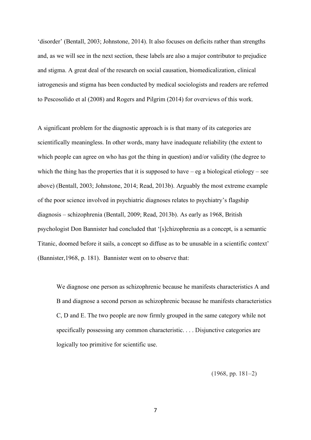'disorder' (Bentall, 2003; Johnstone, 2014). It also focuses on deficits rather than strengths and, as we will see in the next section, these labels are also a major contributor to prejudice and stigma. A great deal of the research on social causation, biomedicalization, clinical iatrogenesis and stigma has been conducted by medical sociologists and readers are referred to Pescosolido et al (2008) and Rogers and Pilgrim (2014) for overviews of this work.

A significant problem for the diagnostic approach is is that many of its categories are scientifically meaningless. In other words, many have inadequate reliability (the extent to which people can agree on who has got the thing in question) and/or validity (the degree to which the thing has the properties that it is supposed to have  $-e$ g a biological etiology – see above) (Bentall, 2003; Johnstone, 2014; Read, 2013b). Arguably the most extreme example of the poor science involved in psychiatric diagnoses relates to psychiatry's flagship diagnosis – schizophrenia (Bentall, 2009; Read, 2013b). As early as 1968, British psychologist Don Bannister had concluded that '[s]chizophrenia as a concept, is a semantic Titanic, doomed before it sails, a concept so diffuse as to be unusable in a scientific context' (Bannister,1968, p. 181). Bannister went on to observe that:

We diagnose one person as schizophrenic because he manifests characteristics A and B and diagnose a second person as schizophrenic because he manifests characteristics C, D and E. The two people are now firmly grouped in the same category while not specifically possessing any common characteristic. . . . Disjunctive categories are logically too primitive for scientific use.

(1968, pp. 181–2)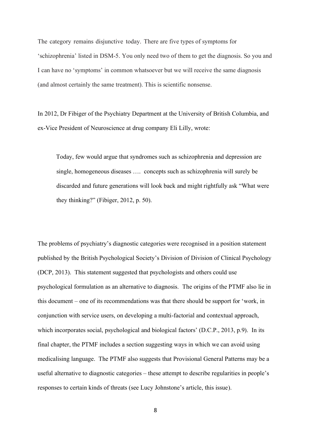The category remains disjunctive today. There are five types of symptoms for 'schizophrenia' listed in DSM-5. You only need two of them to get the diagnosis. So you and I can have no 'symptoms' in common whatsoever but we will receive the same diagnosis (and almost certainly the same treatment). This is scientific nonsense.

In 2012, Dr Fibiger of the Psychiatry Department at the University of British Columbia, and ex-Vice President of Neuroscience at drug company Eli Lilly, wrote:

Today, few would argue that syndromes such as schizophrenia and depression are single, homogeneous diseases …. concepts such as schizophrenia will surely be discarded and future generations will look back and might rightfully ask "What were they thinking?" (Fibiger, 2012, p. 50).

The problems of psychiatry's diagnostic categories were recognised in a position statement published by the British Psychological Society's Division of Division of Clinical Psychology (DCP, 2013). This statement suggested that psychologists and others could use psychological formulation as an alternative to diagnosis. The origins of the PTMF also lie in this document – one of its recommendations was that there should be support for 'work, in conjunction with service users, on developing a multi-factorial and contextual approach, which incorporates social, psychological and biological factors' (D.C.P., 2013, p.9). In its final chapter, the PTMF includes a section suggesting ways in which we can avoid using medicalising language. The PTMF also suggests that Provisional General Patterns may be a useful alternative to diagnostic categories – these attempt to describe regularities in people's responses to certain kinds of threats (see Lucy Johnstone's article, this issue).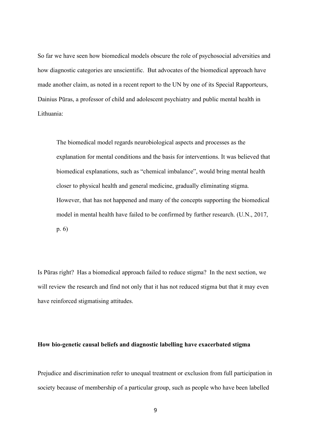So far we have seen how biomedical models obscure the role of psychosocial adversities and how diagnostic categories are unscientific. But advocates of the biomedical approach have made another claim, as noted in a recent report to the UN by one of its Special Rapporteurs, Dainius Pūras, a professor of child and adolescent psychiatry and public mental health in Lithuania:

The biomedical model regards neurobiological aspects and processes as the explanation for mental conditions and the basis for interventions. It was believed that biomedical explanations, such as "chemical imbalance", would bring mental health closer to physical health and general medicine, gradually eliminating stigma. However, that has not happened and many of the concepts supporting the biomedical model in mental health have failed to be confirmed by further research. (U.N., 2017, p. 6)

Is Pūras right? Has a biomedical approach failed to reduce stigma? In the next section, we will review the research and find not only that it has not reduced stigma but that it may even have reinforced stigmatising attitudes.

### **How bio-genetic causal beliefs and diagnostic labelling have exacerbated stigma**

Prejudice and discrimination refer to unequal treatment or exclusion from full participation in society because of membership of a particular group, such as people who have been labelled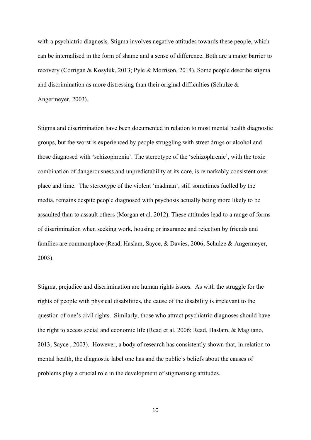with a psychiatric diagnosis. Stigma involves negative attitudes towards these people, which can be internalised in the form of shame and a sense of difference. Both are a major barrier to recovery (Corrigan & Kosyluk, 2013; Pyle & Morrison, 2014). Some people describe stigma and discrimination as more distressing than their original difficulties (Schulze  $\&$ Angermeyer, 2003).

Stigma and discrimination have been documented in relation to most mental health diagnostic groups, but the worst is experienced by people struggling with street drugs or alcohol and those diagnosed with 'schizophrenia'. The stereotype of the 'schizophrenic', with the toxic combination of dangerousness and unpredictability at its core, is remarkably consistent over place and time. The stereotype of the violent 'madman', still sometimes fuelled by the media, remains despite people diagnosed with psychosis actually being more likely to be assaulted than to assault others (Morgan et al. 2012). These attitudes lead to a range of forms of discrimination when seeking work, housing or insurance and rejection by friends and families are commonplace (Read, Haslam, Sayce, & Davies, 2006; Schulze & Angermeyer, 2003).

Stigma, prejudice and discrimination are human rights issues. As with the struggle for the rights of people with physical disabilities, the cause of the disability is irrelevant to the question of one's civil rights. Similarly, those who attract psychiatric diagnoses should have the right to access social and economic life (Read et al. 2006; Read, Haslam, & Magliano, 2013; Sayce , 2003). However, a body of research has consistently shown that, in relation to mental health, the diagnostic label one has and the public's beliefs about the causes of problems play a crucial role in the development of stigmatising attitudes.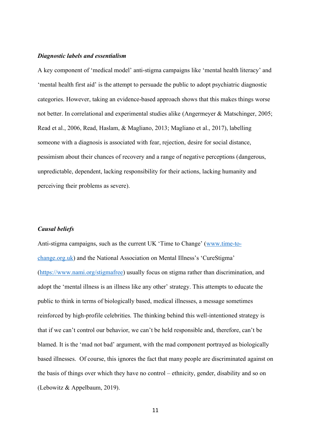### *Diagnostic labels and essentialism*

A key component of 'medical model' anti-stigma campaigns like 'mental health literacy' and 'mental health first aid' is the attempt to persuade the public to adopt psychiatric diagnostic categories. However, taking an evidence-based approach shows that this makes things worse not better. In correlational and experimental studies alike (Angermeyer & Matschinger, 2005; Read et al., 2006, Read, Haslam, & Magliano, 2013; Magliano et al., 2017), labelling someone with a diagnosis is associated with fear, rejection, desire for social distance, pessimism about their chances of recovery and a range of negative perceptions (dangerous, unpredictable, dependent, lacking responsibility for their actions, lacking humanity and perceiving their problems as severe).

## *Causal beliefs*

Anti-stigma campaigns, such as the current UK 'Time to Change' ([www.time-to](http://www.time-to-change.org.uk/)[change.org.uk\)](http://www.time-to-change.org.uk/) and the National Association on Mental Illness's 'CureStigma' [\(https://www.nami.org/stigmafree\)](https://www.nami.org/stigmafree) usually focus on stigma rather than discrimination, and adopt the 'mental illness is an illness like any other' strategy. This attempts to educate the public to think in terms of biologically based, medical illnesses, a message sometimes reinforced by high-profile celebrities. The thinking behind this well-intentioned strategy is that if we can't control our behavior, we can't be held responsible and, therefore, can't be blamed. It is the 'mad not bad' argument, with the mad component portrayed as biologically based illnesses. Of course, this ignores the fact that many people are discriminated against on the basis of things over which they have no control – ethnicity, gender, disability and so on (Lebowitz & Appelbaum, 2019).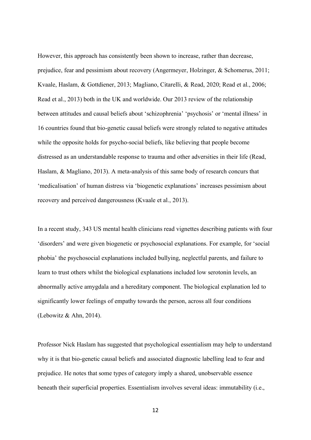However, this approach has consistently been shown to increase, rather than decrease, prejudice, fear and pessimism about recovery (Angermeyer, Holzinger, & Schomerus, 2011; Kvaale, Haslam, & Gottdiener, 2013; Magliano, Citarelli, & Read, 2020; Read et al., 2006; Read et al., 2013) both in the UK and worldwide. Our 2013 review of the relationship between attitudes and causal beliefs about 'schizophrenia' 'psychosis' or 'mental illness' in 16 countries found that bio-genetic causal beliefs were strongly related to negative attitudes while the opposite holds for psycho-social beliefs, like believing that people become distressed as an understandable response to trauma and other adversities in their life (Read, Haslam, & Magliano, 2013). A meta-analysis of this same body of research concurs that 'medicalisation' of human distress via 'biogenetic explanations' increases pessimism about recovery and perceived dangerousness (Kvaale et al., 2013).

In a recent study, 343 US mental health clinicians read vignettes describing patients with four 'disorders' and were given biogenetic or psychosocial explanations. For example, for 'social phobia' the psychosocial explanations included bullying, neglectful parents, and failure to learn to trust others whilst the biological explanations included low serotonin levels, an abnormally active amygdala and a hereditary component. The biological explanation led to significantly lower feelings of empathy towards the person, across all four conditions (Lebowitz & Ahn, 2014).

Professor Nick Haslam has suggested that psychological essentialism may help to understand why it is that bio-genetic causal beliefs and associated diagnostic labelling lead to fear and prejudice. He notes that some types of category imply a shared, unobservable essence beneath their superficial properties. Essentialism involves several ideas: immutability (i.e.,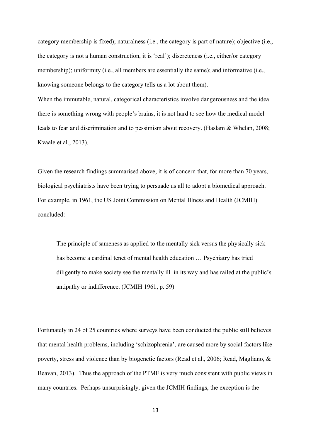category membership is fixed); naturalness (i.e., the category is part of nature); objective (i.e., the category is not a human construction, it is 'real'); discreteness (i.e., either/or category membership); uniformity (i.e., all members are essentially the same); and informative (i.e., knowing someone belongs to the category tells us a lot about them). When the immutable, natural, categorical characteristics involve dangerousness and the idea there is something wrong with people's brains, it is not hard to see how the medical model leads to fear and discrimination and to pessimism about recovery. (Haslam & Whelan, 2008; Kvaale et al., 2013).

Given the research findings summarised above, it is of concern that, for more than 70 years, biological psychiatrists have been trying to persuade us all to adopt a biomedical approach. For example, in 1961, the US Joint Commission on Mental Illness and Health (JCMIH) concluded:

The principle of sameness as applied to the mentally sick versus the physically sick has become a cardinal tenet of mental health education … Psychiatry has tried diligently to make society see the mentally ill in its way and has railed at the public's antipathy or indifference. (JCMIH 1961, p. 59)

Fortunately in 24 of 25 countries where surveys have been conducted the public still believes that mental health problems, including 'schizophrenia', are caused more by social factors like poverty, stress and violence than by biogenetic factors (Read et al., 2006; Read, Magliano, & Beavan, 2013). Thus the approach of the PTMF is very much consistent with public views in many countries. Perhaps unsurprisingly, given the JCMIH findings, the exception is the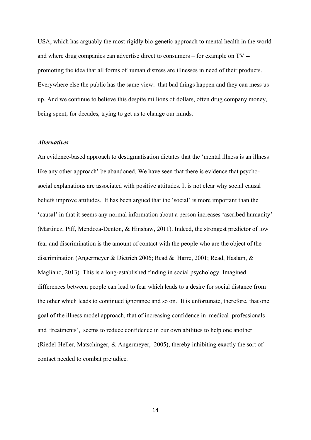USA, which has arguably the most rigidly bio-genetic approach to mental health in the world and where drug companies can advertise direct to consumers – for example on TV - promoting the idea that all forms of human distress are illnesses in need of their products. Everywhere else the public has the same view: that bad things happen and they can mess us up. And we continue to believe this despite millions of dollars, often drug company money, being spent, for decades, trying to get us to change our minds.

## *Alternatives*

An evidence-based approach to destigmatisation dictates that the 'mental illness is an illness like any other approach' be abandoned. We have seen that there is evidence that psychosocial explanations are associated with positive attitudes. It is not clear why social causal beliefs improve attitudes. It has been argued that the 'social' is more important than the 'causal' in that it seems any normal information about a person increases 'ascribed humanity' (Martinez, Piff, Mendoza-Denton, & Hinshaw, 2011). Indeed, the strongest predictor of low fear and discrimination is the amount of contact with the people who are the object of the discrimination (Angermeyer & Dietrich 2006; Read & Harre, 2001; Read, Haslam, & Magliano, 2013). This is a long-established finding in social psychology. Imagined differences between people can lead to fear which leads to a desire for social distance from the other which leads to continued ignorance and so on. It is unfortunate, therefore, that one goal of the illness model approach, that of increasing confidence in medical professionals and 'treatments', seems to reduce confidence in our own abilities to help one another (Riedel-Heller, Matschinger, & Angermeyer, 2005), thereby inhibiting exactly the sort of contact needed to combat prejudice.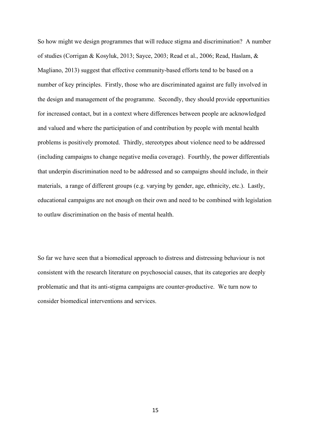So how might we design programmes that will reduce stigma and discrimination? A number of studies (Corrigan & Kosyluk, 2013; Sayce, 2003; Read et al., 2006; Read, Haslam, & Magliano, 2013) suggest that effective community-based efforts tend to be based on a number of key principles. Firstly, those who are discriminated against are fully involved in the design and management of the programme. Secondly, they should provide opportunities for increased contact, but in a context where differences between people are acknowledged and valued and where the participation of and contribution by people with mental health problems is positively promoted. Thirdly, stereotypes about violence need to be addressed (including campaigns to change negative media coverage). Fourthly, the power differentials that underpin discrimination need to be addressed and so campaigns should include, in their materials, a range of different groups (e.g. varying by gender, age, ethnicity, etc.). Lastly, educational campaigns are not enough on their own and need to be combined with legislation to outlaw discrimination on the basis of mental health.

So far we have seen that a biomedical approach to distress and distressing behaviour is not consistent with the research literature on psychosocial causes, that its categories are deeply problematic and that its anti-stigma campaigns are counter-productive. We turn now to consider biomedical interventions and services.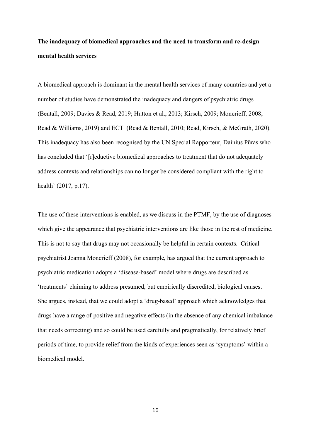# **The inadequacy of biomedical approaches and the need to transform and re-design mental health services**

A biomedical approach is dominant in the mental health services of many countries and yet a number of studies have demonstrated the inadequacy and dangers of psychiatric drugs (Bentall, 2009; Davies & Read, 2019; Hutton et al., 2013; Kirsch, 2009; Moncrieff, 2008; Read & Williams, 2019) and ECT (Read & Bentall, 2010; Read, Kirsch, & McGrath, 2020). This inadequacy has also been recognised by the UN Special Rapporteur, Dainius Pūras who has concluded that '[r]eductive biomedical approaches to treatment that do not adequately address contexts and relationships can no longer be considered compliant with the right to health' (2017, p.17).

The use of these interventions is enabled, as we discuss in the PTMF, by the use of diagnoses which give the appearance that psychiatric interventions are like those in the rest of medicine. This is not to say that drugs may not occasionally be helpful in certain contexts. Critical psychiatrist Joanna Moncrieff (2008), for example, has argued that the current approach to psychiatric medication adopts a 'disease-based' model where drugs are described as 'treatments' claiming to address presumed, but empirically discredited, biological causes. She argues, instead, that we could adopt a 'drug-based' approach which acknowledges that drugs have a range of positive and negative effects (in the absence of any chemical imbalance that needs correcting) and so could be used carefully and pragmatically, for relatively brief periods of time, to provide relief from the kinds of experiences seen as 'symptoms' within a biomedical model.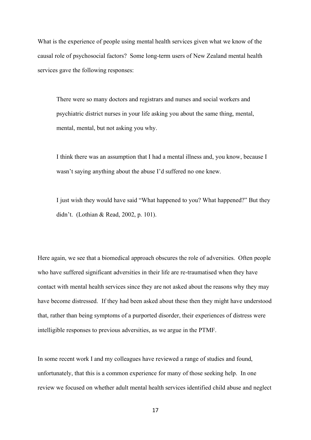What is the experience of people using mental health services given what we know of the causal role of psychosocial factors? Some long-term users of New Zealand mental health services gave the following responses:

There were so many doctors and registrars and nurses and social workers and psychiatric district nurses in your life asking you about the same thing, mental, mental, mental, but not asking you why.

I think there was an assumption that I had a mental illness and, you know, because I wasn't saying anything about the abuse I'd suffered no one knew.

I just wish they would have said "What happened to you? What happened?" But they didn't. (Lothian & Read, 2002, p. 101).

Here again, we see that a biomedical approach obscures the role of adversities. Often people who have suffered significant adversities in their life are re-traumatised when they have contact with mental health services since they are not asked about the reasons why they may have become distressed. If they had been asked about these then they might have understood that, rather than being symptoms of a purported disorder, their experiences of distress were intelligible responses to previous adversities, as we argue in the PTMF.

In some recent work I and my colleagues have reviewed a range of studies and found, unfortunately, that this is a common experience for many of those seeking help. In one review we focused on whether adult mental health services identified child abuse and neglect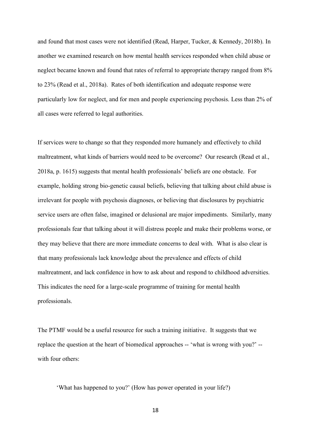and found that most cases were not identified (Read, Harper, Tucker, & Kennedy, 2018b). In another we examined research on how mental health services responded when child abuse or neglect became known and found that rates of referral to appropriate therapy ranged from 8% to 23% (Read et al., 2018a). Rates of both identification and adequate response were particularly low for neglect, and for men and people experiencing psychosis. Less than 2% of all cases were referred to legal authorities.

If services were to change so that they responded more humanely and effectively to child maltreatment, what kinds of barriers would need to be overcome? Our research (Read et al., 2018a, p. 1615) suggests that mental health professionals' beliefs are one obstacle. For example, holding strong bio-genetic causal beliefs, believing that talking about child abuse is irrelevant for people with psychosis diagnoses, or believing that disclosures by psychiatric service users are often false, imagined or delusional are major impediments. Similarly, many professionals fear that talking about it will distress people and make their problems worse, or they may believe that there are more immediate concerns to deal with. What is also clear is that many professionals lack knowledge about the prevalence and effects of child maltreatment, and lack confidence in how to ask about and respond to childhood adversities. This indicates the need for a large-scale programme of training for mental health professionals.

The PTMF would be a useful resource for such a training initiative. It suggests that we replace the question at the heart of biomedical approaches -- 'what is wrong with you?' - with four others:

'What has happened to you?' (How has power operated in your life?)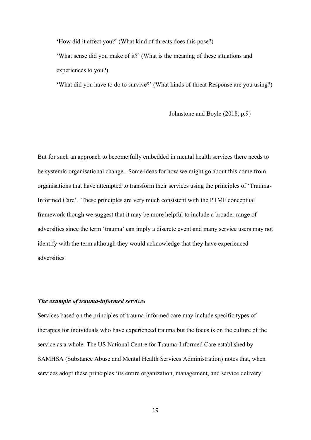'How did it affect you?' (What kind of threats does this pose?)

'What sense did you make of it?' (What is the meaning of these situations and experiences to you?)

'What did you have to do to survive?' (What kinds of threat Response are you using?)

Johnstone and Boyle (2018, p.9)

But for such an approach to become fully embedded in mental health services there needs to be systemic organisational change. Some ideas for how we might go about this come from organisations that have attempted to transform their services using the principles of 'Trauma-Informed Care'. These principles are very much consistent with the PTMF conceptual framework though we suggest that it may be more helpful to include a broader range of adversities since the term 'trauma' can imply a discrete event and many service users may not identify with the term although they would acknowledge that they have experienced adversities

## *The example of trauma-informed services*

Services based on the principles of trauma-informed care may include specific types of therapies for individuals who have experienced trauma but the focus is on the culture of the service as a whole. The US National Centre for Trauma-Informed Care established by SAMHSA (Substance Abuse and Mental Health Services Administration) notes that, when services adopt these principles 'its entire organization, management, and service delivery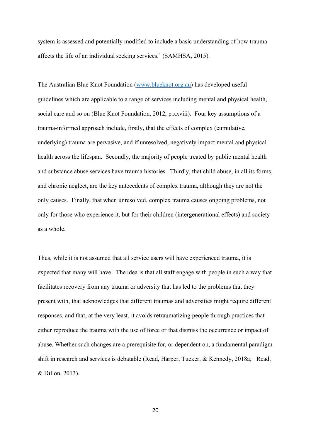system is assessed and potentially modified to include a basic understanding of how trauma affects the life of an individual seeking services.' (SAMHSA, 2015).

The Australian Blue Knot Foundation [\(www.blueknot.org.au\)](http://www.blueknot.org.au/) has developed useful guidelines which are applicable to a range of services including mental and physical health, social care and so on (Blue Knot Foundation, 2012, p.xxviii). Four key assumptions of a trauma-informed approach include, firstly, that the effects of complex (cumulative, underlying) trauma are pervasive, and if unresolved, negatively impact mental and physical health across the lifespan. Secondly, the majority of people treated by public mental health and substance abuse services have trauma histories. Thirdly, that child abuse, in all its forms, and chronic neglect, are the key antecedents of complex trauma, although they are not the only causes. Finally, that when unresolved, complex trauma causes ongoing problems, not only for those who experience it, but for their children (intergenerational effects) and society as a whole.

Thus, while it is not assumed that all service users will have experienced trauma, it is expected that many will have. The idea is that all staff engage with people in such a way that facilitates recovery from any trauma or adversity that has led to the problems that they present with, that acknowledges that different traumas and adversities might require different responses, and that, at the very least, it avoids retraumatizing people through practices that either reproduce the trauma with the use of force or that dismiss the occurrence or impact of abuse. Whether such changes are a prerequisite for, or dependent on, a fundamental paradigm shift in research and services is debatable (Read, Harper, Tucker, & Kennedy, 2018a; Read, & Dillon, 2013)*.*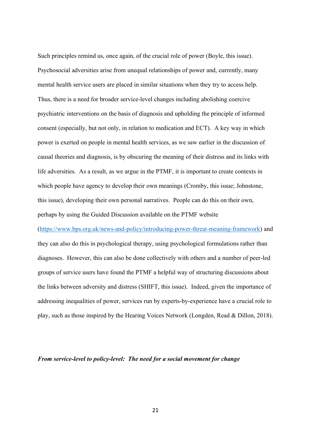Such principles remind us, once again, of the crucial role of power (Boyle, this issue). Psychosocial adversities arise from unequal relationships of power and, currently, many mental health service users are placed in similar situations when they try to access help. Thus, there is a need for broader service-level changes including abolishing coercive psychiatric interventions on the basis of diagnosis and upholding the principle of informed consent (especially, but not only, in relation to medication and ECT). A key way in which power is exerted on people in mental health services, as we saw earlier in the discussion of causal theories and diagnosis, is by obscuring the meaning of their distress and its links with life adversities. As a result, as we argue in the PTMF, it is important to create contexts in which people have agency to develop their own meanings (Cromby, this issue; Johnstone, this issue), developing their own personal narratives. People can do this on their own, perhaps by using the Guided Discussion available on the PTMF website

[\(https://www.bps.org.uk/news-and-policy/introducing-power-threat-meaning-framework\)](https://www.bps.org.uk/news-and-policy/introducing-power-threat-meaning-framework) and they can also do this in psychological therapy, using psychological formulations rather than diagnoses. However, this can also be done collectively with others and a number of peer-led groups of service users have found the PTMF a helpful way of structuring discussions about the links between adversity and distress (SHIFT, this issue). Indeed, given the importance of addressing inequalities of power, services run by experts-by-experience have a crucial role to play, such as those inspired by the Hearing Voices Network (Longden, Read & Dillon, 2018).

## *From service-level to policy-level: The need for a social movement for change*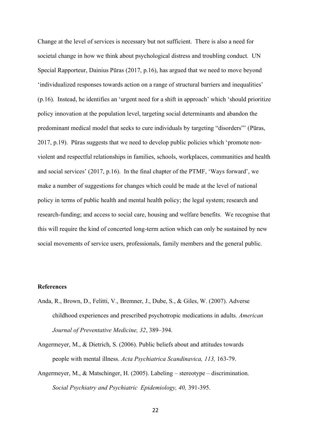Change at the level of services is necessary but not sufficient. There is also a need for societal change in how we think about psychological distress and troubling conduct. UN Special Rapporteur, Dainius Pūras (2017, p.16), has argued that we need to move beyond 'individualized responses towards action on a range of structural barriers and inequalities' (p.16). Instead, he identifies an 'urgent need for a shift in approach' which 'should prioritize policy innovation at the population level, targeting social determinants and abandon the predominant medical model that seeks to cure individuals by targeting "disorders"' (Pūras, 2017, p.19). Pūras suggests that we need to develop public policies which 'promote nonviolent and respectful relationships in families, schools, workplaces, communities and health and social services' (2017, p.16). In the final chapter of the PTMF, 'Ways forward', we make a number of suggestions for changes which could be made at the level of national policy in terms of public health and mental health policy; the legal system; research and research-funding; and access to social care, housing and welfare benefits. We recognise that this will require the kind of concerted long-term action which can only be sustained by new social movements of service users, professionals, family members and the general public.

#### **References**

- Anda, R., Brown, D., Felitti, V., Bremner, J., Dube, S., & Giles, W. (2007). Adverse childhood experiences and prescribed psychotropic medications in adults. *American Journal of Preventative Medicine, 32*, 389–394.
- Angermeyer, M., & Dietrich, S. (2006). Public beliefs about and attitudes towards people with mental illness. *Acta Psychiatrica Scandinavica, 113,* 163-79.
- Angermeyer, M., & Matschinger, H. (2005). Labeling stereotype discrimination. *Social Psychiatry and Psychiatric Epidemiology, 40,* 391-395.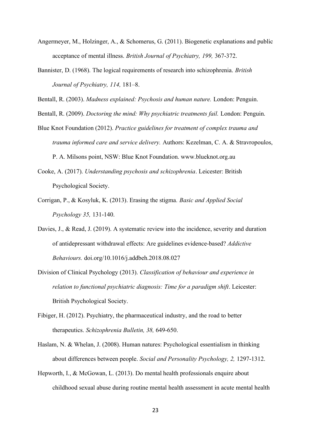- Angermeyer, M., Holzinger, A., & Schomerus, G. (2011). Biogenetic explanations and public acceptance of mental illness. *British Journal of Psychiatry, 199,* 367-372.
- Bannister, D. (1968). The logical requirements of research into schizophrenia. *British Journal of Psychiatry, 114,* 181–8.

Bentall, R. (2003). *Madness explained: Psychosis and human nature.* London: Penguin.

Bentall, R. (2009). *Doctoring the mind: Why psychiatric treatments fail.* London: Penguin.

- Blue Knot Foundation (2012). *Practice guidelines for treatment of complex trauma and trauma informed care and service delivery.* Authors: Kezelman, C. A. & Stravropoulos, P. A. Milsons point, NSW: Blue Knot Foundation. www.blueknot.org.au
- Cooke, A. (2017). *Understanding psychosis and schizophrenia*. Leicester: British Psychological Society.
- Corrigan, P., & Kosyluk, K. (2013). Erasing the stigma*. Basic and Applied Social Psychology 35,* 131-140.
- Davies, J., & Read, J. (2019). A systematic review into the incidence, severity and duration of antidepressant withdrawal effects: Are guidelines evidence-based? *Addictive Behaviours.* doi.org/10.1016/j.addbeh.2018.08.027
- Division of Clinical Psychology (2013). *Classification of behaviour and experience in relation to functional psychiatric diagnosis: Time for a paradigm shift. Leicester:* British Psychological Society.
- Fibiger, H. (2012). Psychiatry, the pharmaceutical industry, and the road to better therapeutics. *Schizophrenia Bulletin, 38,* 649-650.
- Haslam, N. & Whelan, J. (2008). Human natures: Psychological essentialism in thinking about differences between people. *Social and Personality Psychology, 2,* 1297-1312.
- Hepworth, I., & McGowan, L. (2013). Do mental health professionals enquire about childhood sexual abuse during routine mental health assessment in acute mental health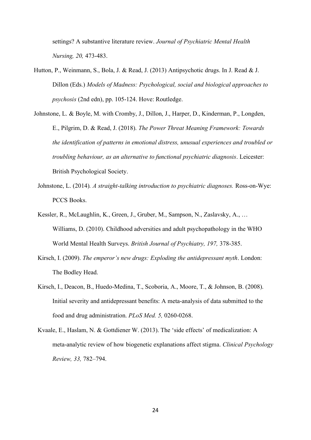settings? A substantive literature review. *Journal of Psychiatric Mental Health Nursing, 20,* 473-483.

- Hutton, P., Weinmann, S., Bola, J. & Read, J. (2013) Antipsychotic drugs. In J. Read & J. Dillon (Eds.) *Models of Madness: Psychological, social and biological approaches to psychosis* (2nd edn), pp. 105-124. Hove: Routledge.
- Johnstone, L. & Boyle, M. with Cromby, J., Dillon, J., Harper, D., Kinderman, P., Longden, E., Pilgrim, D. & Read, J. (2018). *The Power Threat Meaning Framework: Towards the identification of patterns in emotional distress, unusual experiences and troubled or troubling behaviour, as an alternative to functional psychiatric diagnosis*. Leicester: British Psychological Society.
	- Johnstone, L. (2014)*. A straight-talking introduction to psychiatric diagnoses.* Ross-on-Wye: PCCS Books.
	- Kessler, R., McLaughlin, K., Green, J., Gruber, M., Sampson, N., Zaslavsky, A., … Williams, D. (2010). Childhood adversities and adult psychopathology in the WHO World Mental Health Surveys. *British Journal of Psychiatry, 197,* 378-385.
	- Kirsch, I. (2009). *The emperor's new drugs: Exploding the antidepressant myth*. London: The Bodley Head.
	- Kirsch, I., Deacon, B., Huedo-Medina, T., Scoboria, A., Moore, T., & Johnson, B. (2008). Initial severity and antidepressant benefits: A meta-analysis of data submitted to the food and drug administration. *PLoS Med. 5,* 0260-0268.
	- Kvaale, E., Haslam, N. & Gottdiener W. (2013). The 'side effects' of medicalization: A meta-analytic review of how biogenetic explanations affect stigma. *Clinical Psychology Review, 33,* 782–794.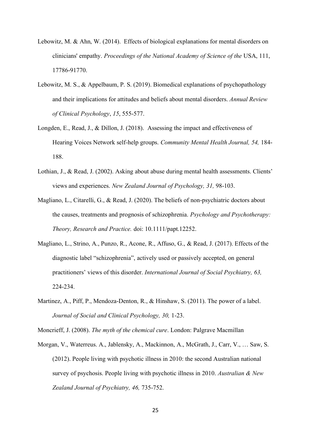- Lebowitz, M. & Ahn, W. (2014). Effects of biological explanations for mental disorders on clinicians' empathy. *Proceedings of the National Academy of Science of the* USA, 111, 17786-91770.
- Lebowitz, M. S., & Appelbaum, P. S. (2019). Biomedical explanations of psychopathology and their implications for attitudes and beliefs about mental disorders. *Annual Review of Clinical Psychology*, *15*, 555-577.
- Longden, E., Read, J., & Dillon, J. (2018). Assessing the impact and effectiveness of Hearing Voices Network self-help groups. *Community Mental Health Journal, 54,* 184- 188.
- Lothian, J., & Read, J. (2002). Asking about abuse during mental health assessments. Clients' views and experiences. *New Zealand Journal of Psychology, 31,* 98-103.
- Magliano, L., Citarelli, G., & Read, J. (2020). The beliefs of non-psychiatric doctors about the causes, treatments and prognosis of schizophrenia. *Psychology and Psychotherapy: Theory, Research and Practice.* doi: 10.1111/papt.12252.
- Magliano, L., Strino, A., Punzo, R., Acone, R., Affuso, G., & Read, J. (2017). Effects of the diagnostic label "schizophrenia", actively used or passively accepted, on general practitioners' views of this disorder. *International Journal of Social Psychiatry, 63,*  224-234.
- Martinez, A., Piff, P., Mendoza-Denton, R., & Hinshaw, S. (2011). The power of a label. *Journal of Social and Clinical Psychology, 30,* 1-23.

Moncrieff, J. (2008). *The myth of the chemical cure*. London: Palgrave Macmillan

Morgan, V., Waterreus. A., Jablensky, A., Mackinnon, A., McGrath, J., Carr, V., … Saw, S. (2012). People living with psychotic illness in 2010: the second Australian national survey of psychosis. People living with psychotic illness in 2010. *Australian & New Zealand Journal of Psychiatry, 46,* 735-752.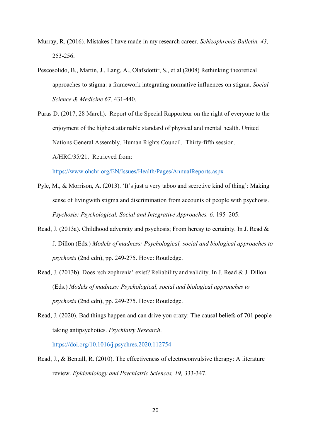- Murray, R. (2016). Mistakes I have made in my research career. *Schizophrenia Bulletin, 43,*  253-256.
- Pescosolido, B., [Martin, J.,](https://www.ncbi.nlm.nih.gov/pubmed/?term=Martin%20JK%5BAuthor%5D&cauthor=true&cauthor_uid=18436358) [Lang, A.](https://www.ncbi.nlm.nih.gov/pubmed/?term=Lang%20A%5BAuthor%5D&cauthor=true&cauthor_uid=18436358), [Olafsdottir, S.](https://www.ncbi.nlm.nih.gov/pubmed/?term=Olafsdottir%20S%5BAuthor%5D&cauthor=true&cauthor_uid=18436358), et al (2008) Rethinking theoretical approaches to stigma: a framework integrating normative influences on stigma. *Social Science & Medicine 67,* 431-440.
- Pūras D. (2017, 28 March). Report of the Special Rapporteur on the right of everyone to the enjoyment of the highest attainable standard of physical and mental health. United Nations General Assembly. Human Rights Council. Thirty-fifth session. A/HRC/35/21. Retrieved from:

<https://www.ohchr.org/EN/Issues/Health/Pages/AnnualReports.aspx>

- Pyle, M., & Morrison, A. (2013). 'It's just a very taboo and secretive kind of thing': Making sense of livingwith stigma and discrimination from accounts of people with psychosis. *Psychosis: Psychological, Social and Integrative Approaches, 6,* 195–205.
- Read, J. (2013a). Childhood adversity and psychosis; From heresy to certainty. In J. Read & J. Dillon (Eds.) *Models of madness: Psychological, social and biological approaches to psychosis* (2nd edn), pp. 249-275. Hove: Routledge.
- Read, J. (2013b). Does'schizophrenia' exist? Reliability and validity. In J. Read & J. Dillon (Eds.) *Models of madness: Psychological, social and biological approaches to psychosis* (2nd edn), pp. 249-275. Hove: Routledge.
- Read, J. (2020). Bad things happen and can drive you crazy: The causal beliefs of 701 people taking antipsychotics. *Psychiatry Research*.

<https://doi.org/10.1016/j.psychres.2020.112754>

Read, J., & Bentall, R. (2010). The effectiveness of electroconvulsive therapy: A literature review. *Epidemiology and Psychiatric Sciences, 19,* 333-347.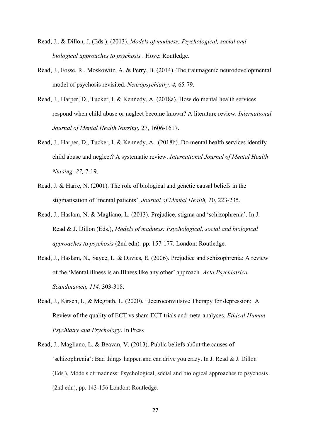- Read, J., & Dillon, J. (Eds.). (2013). *Models of madness: Psychological, social and biological approaches to psychosis* . Hove: Routledge.
- Read, J., Fosse, R., Moskowitz, A. & Perry, B. (2014). The traumagenic neurodevelopmental model of psychosis revisited. *Neuropsychiatry, 4,* 65-79.
- Read, J., Harper, D., Tucker, I. & Kennedy, A. (2018a). How do mental health services respond when child abuse or neglect become known? A literature review. *International Journal of Mental Health Nursing*, 27, 1606-1617.
- Read, J., Harper, D., Tucker, I. & Kennedy, A. (2018b). Do mental health services identify child abuse and neglect? A systematic review. *International Journal of Mental Health Nursing, 27,* 7-19.
- Read, J. & Harre, N. (2001). The role of biological and genetic causal beliefs in the stigmatisation of 'mental patients'. *Journal of Mental Health, 1*0, 223-235.
- Read, J., Haslam, N. & Magliano, L. (2013). Prejudice, stigma and 'schizophrenia'. In J. Read & J. Dillon (Eds.), *Models of madness: Psychological, social and biological approaches to psychosis* (2nd edn)*,* pp. 157-177. London: Routledge.
- Read, J., Haslam, N., Sayce, L. & Davies, E. (2006). Prejudice and schizophrenia: A review of the 'Mental illness is an Illness like any other' approach. *Acta Psychiatrica Scandinavica, 114,* 303-318.
- Read, J., Kirsch, I., & Mcgrath, L. (2020). Electroconvulsive Therapy for depression: A Review of the quality of ECT vs sham ECT trials and meta-analyses. *Ethical Human Psychiatry and Psychology*. In Press
- Read, J., Magliano, L. & Beavan, V. (2013). Public beliefs about the causes of 'schizophrenia': Bad things happen and can drive you crazy. In J. Read & J. Dillon (Eds.), Models of madness: Psychological, social and biological approaches to psychosis (2nd edn), pp. 143-156 London: Routledge.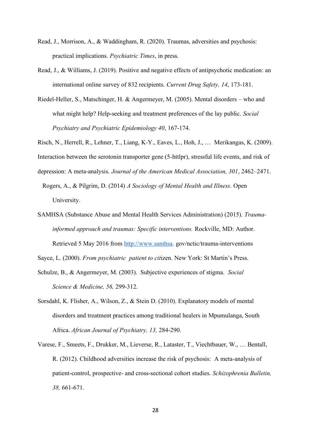- Read, J., Morrison, A., & Waddingham, R. (2020). Traumas, adversities and psychosis: practical implications. *Psychiatric Times*, in press.
- Read, J., & Williams, J. (2019). Positive and negative effects of antipsychotic medication: an international online survey of 832 recipients. *Current Drug Safety, 14*, 173-181.
- Riedel-Heller, S., Matschinger, H. & Angermeyer, M. (2005). Mental disorders who and what might help? Help-seeking and treatment preferences of the lay public. *Social Psychiatry and Psychiatric Epidemiology 40*, 167-174.

Risch, N., Herrell, R., Lehner, T., Liang, K-Y., Eaves, L., Hoh, J., … Merikangas, K. (2009).

Interaction between the serotonin transporter gene (5-httlpr), stressful life events, and risk of

depression: A meta-analysis. *Journal of the American Medical Association, 301*, 2462–2471.

- Rogers, A., & Pilgrim, D. (2014) *A Sociology of Mental Health and Illness*. Open University.
- SAMHSA (Substance Abuse and Mental Health Services Administration) (2015). *Traumainformed approach and traumas: Specific interventions.* Rockville, MD: Author. Retrieved 5 May 2016 from [http://www.samhsa.](http://www.samhsa/) gov/nctic/trauma-interventions

Sayce, L. (2000). *From psychiatric patient to cit*izen. New York: St Martin's Press.

- Schulze, B., & Angermeyer, M. (2003). Subjective experiences of stigma. *Social Science & Medicine, 56,* 299-312.
- Sorsdahl, K. Flisher, A., Wilson, Z., & Stein D. (2010). Explanatory models of mental disorders and treatment practices among traditional healers in Mpumulanga, South Africa. *African Journal of Psychiatry, 13,* 284-290.
- Varese, F., Smeets, F., Drukker, M., Lieverse, R., Lataster, T., Viechtbauer, W., … Bentall, R. (2012). Childhood adversities increase the risk of psychosis: A meta-analysis of patient-control, prospective- and cross-sectional cohort studies. *Schizophrenia Bulletin, 38,* 661-671.